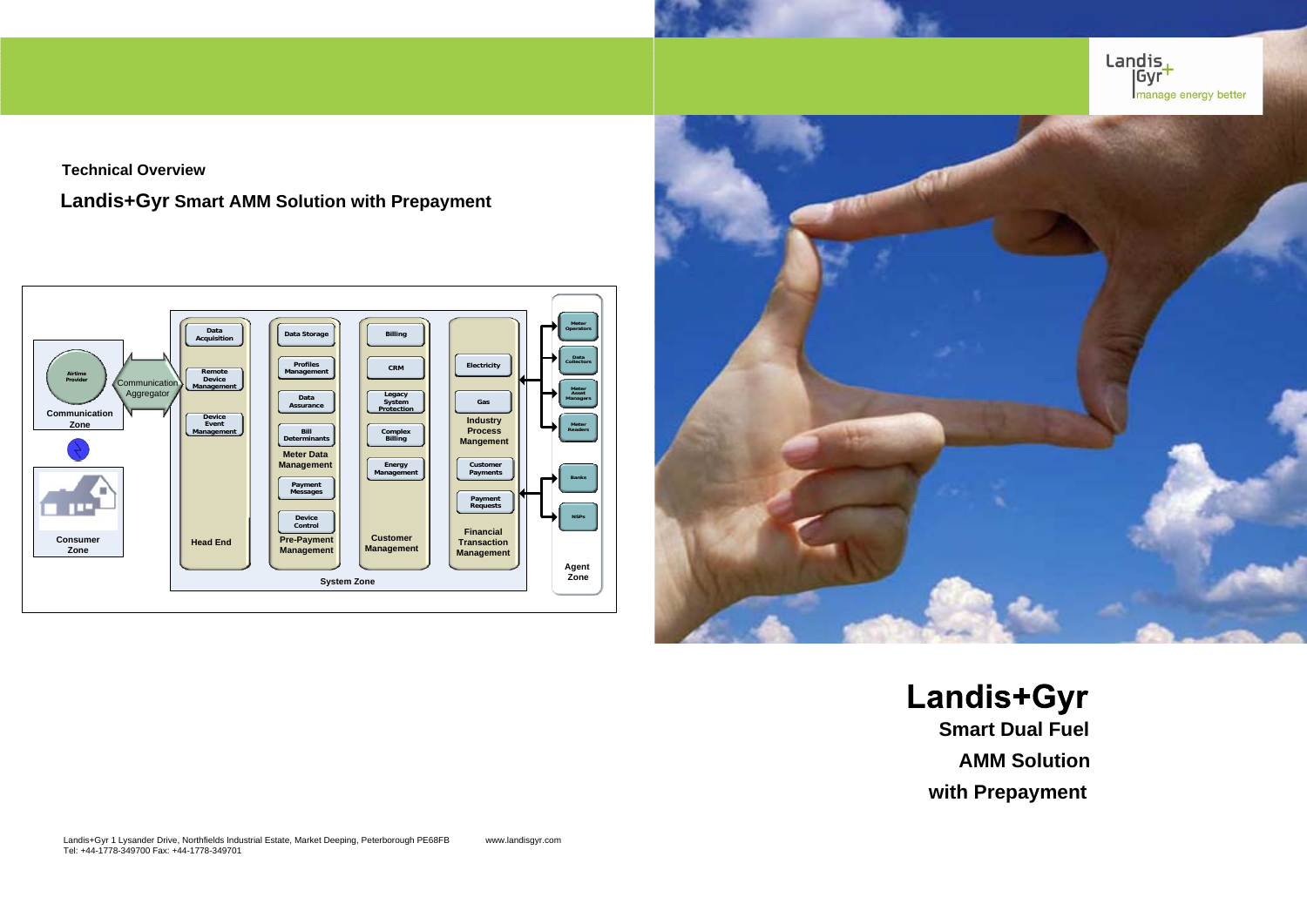**Technical Overview**

**Landis+Gyr Smart AMM Solution with Prepayment**

**Landis+Gyr Smart Dual Fuel AMM Solution** 

Landis+Gyr 1 Lysander Drive, Northfields Industrial Estate, Market Deeping, Peterborough PE68FB www.landisgyr.com Tel: +44-1778-349700 Fax: +44-1778-349701

**with Prepayment**